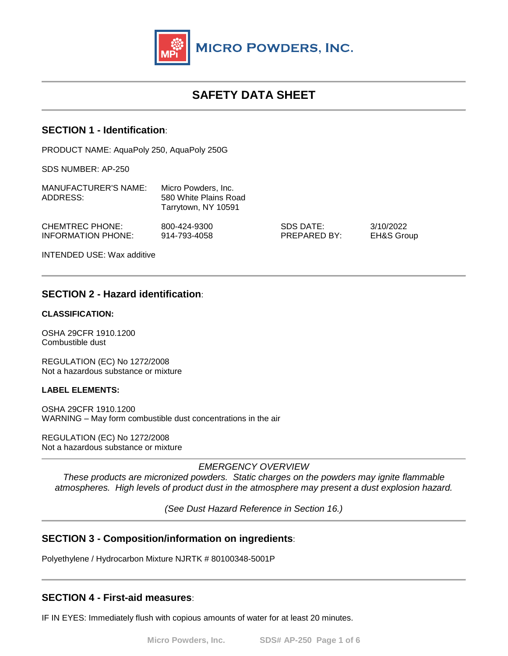

# **SAFETY DATA SHEET**

### **SECTION 1 - Identification**:

PRODUCT NAME: AquaPoly 250, AquaPoly 250G

SDS NUMBER: AP-250

| MANUFACTURER'S NAME:<br>ADDRESS:                    | Micro Powders, Inc.<br>580 White Plains Road<br>Tarrytown, NY 10591 |                           |                                    |
|-----------------------------------------------------|---------------------------------------------------------------------|---------------------------|------------------------------------|
| <b>CHEMTREC PHONE:</b><br><b>INFORMATION PHONE:</b> | 800-424-9300<br>914-793-4058                                        | SDS DATE:<br>PREPARED BY: | 3/10/2022<br><b>EH&amp;S Group</b> |
| <b>INTENDED USE: Wax additive</b>                   |                                                                     |                           |                                    |

# **SECTION 2 - Hazard identification**:

#### **CLASSIFICATION:**

OSHA 29CFR 1910.1200 Combustible dust

REGULATION (EC) No 1272/2008 Not a hazardous substance or mixture

### **LABEL ELEMENTS:**

OSHA 29CFR 1910.1200 WARNING – May form combustible dust concentrations in the air

REGULATION (EC) No 1272/2008 Not a hazardous substance or mixture

*EMERGENCY OVERVIEW*

*These products are micronized powders. Static charges on the powders may ignite flammable atmospheres. High levels of product dust in the atmosphere may present a dust explosion hazard.*

*(See Dust Hazard Reference in Section 16.)* 

### **SECTION 3 - Composition/information on ingredients**:

Polyethylene / Hydrocarbon Mixture NJRTK # 80100348-5001P

# **SECTION 4 - First-aid measures**:

IF IN EYES: Immediately flush with copious amounts of water for at least 20 minutes.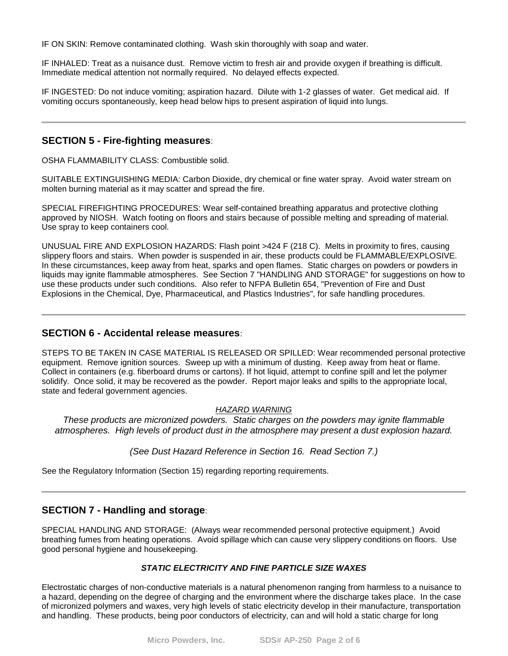IF ON SKIN: Remove contaminated clothing. Wash skin thoroughly with soap and water.

IF INHALED: Treat as a nuisance dust. Remove victim to fresh air and provide oxygen if breathing is difficult. Immediate medical attention not normally required. No delayed effects expected.

IF INGESTED: Do not induce vomiting; aspiration hazard. Dilute with 1-2 glasses of water. Get medical aid. If vomiting occurs spontaneously, keep head below hips to present aspiration of liquid into lungs.

### **SECTION 5 - Fire-fighting measures**:

OSHA FLAMMABILITY CLASS: Combustible solid.

SUITABLE EXTINGUISHING MEDIA: Carbon Dioxide, dry chemical or fine water spray. Avoid water stream on molten burning material as it may scatter and spread the fire.

SPECIAL FIREFIGHTING PROCEDURES: Wear self-contained breathing apparatus and protective clothing approved by NIOSH. Watch footing on floors and stairs because of possible melting and spreading of material. Use spray to keep containers cool.

UNUSUAL FIRE AND EXPLOSION HAZARDS: Flash point >424 F (218 C). Melts in proximity to fires, causing slippery floors and stairs. When powder is suspended in air, these products could be FLAMMABLE/EXPLOSIVE. In these circumstances, keep away from heat, sparks and open flames. Static charges on powders or powders in liquids may ignite flammable atmospheres. See Section 7 "HANDLING AND STORAGE" for suggestions on how to use these products under such conditions. Also refer to NFPA Bulletin 654, "Prevention of Fire and Dust Explosions in the Chemical, Dye, Pharmaceutical, and Plastics Industries", for safe handling procedures.

### **SECTION 6 - Accidental release measures**:

STEPS TO BE TAKEN IN CASE MATERIAL IS RELEASED OR SPILLED: Wear recommended personal protective equipment. Remove ignition sources. Sweep up with a minimum of dusting. Keep away from heat or flame. Collect in containers (e.g. fiberboard drums or cartons). If hot liquid, attempt to confine spill and let the polymer solidify. Once solid, it may be recovered as the powder. Report major leaks and spills to the appropriate local, state and federal government agencies.

#### *HAZARD WARNING*

*These products are micronized powders. Static charges on the powders may ignite flammable atmospheres. High levels of product dust in the atmosphere may present a dust explosion hazard.*

### *(See Dust Hazard Reference in Section 16. Read Section 7.)*

See the Regulatory Information (Section 15) regarding reporting requirements.

### **SECTION 7 - Handling and storage**:

SPECIAL HANDLING AND STORAGE: (Always wear recommended personal protective equipment.) Avoid breathing fumes from heating operations. Avoid spillage which can cause very slippery conditions on floors. Use good personal hygiene and housekeeping.

#### *STATIC ELECTRICITY AND FINE PARTICLE SIZE WAXES*

Electrostatic charges of non-conductive materials is a natural phenomenon ranging from harmless to a nuisance to a hazard, depending on the degree of charging and the environment where the discharge takes place. In the case of micronized polymers and waxes, very high levels of static electricity develop in their manufacture, transportation and handling. These products, being poor conductors of electricity, can and will hold a static charge for long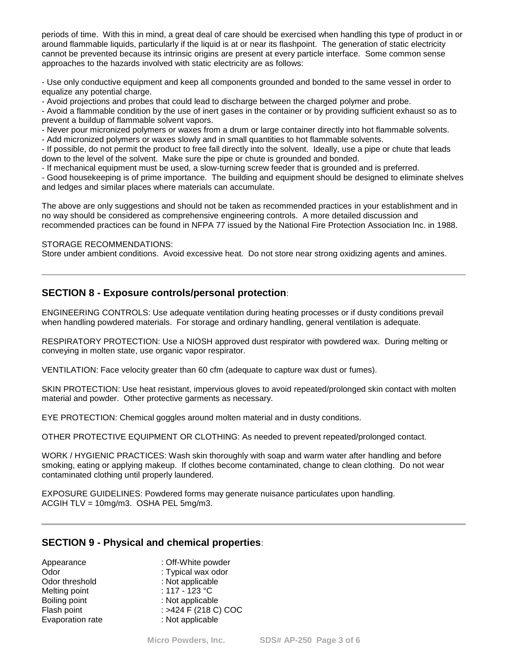periods of time. With this in mind, a great deal of care should be exercised when handling this type of product in or around flammable liquids, particularly if the liquid is at or near its flashpoint. The generation of static electricity cannot be prevented because its intrinsic origins are present at every particle interface. Some common sense approaches to the hazards involved with static electricity are as follows:

- Use only conductive equipment and keep all components grounded and bonded to the same vessel in order to equalize any potential charge.

- Avoid projections and probes that could lead to discharge between the charged polymer and probe.

- Avoid a flammable condition by the use of inert gases in the container or by providing sufficient exhaust so as to prevent a buildup of flammable solvent vapors.

- Never pour micronized polymers or waxes from a drum or large container directly into hot flammable solvents.

- Add micronized polymers or waxes slowly and in small quantities to hot flammable solvents.

- If possible, do not permit the product to free fall directly into the solvent. Ideally, use a pipe or chute that leads down to the level of the solvent. Make sure the pipe or chute is grounded and bonded.

- If mechanical equipment must be used, a slow-turning screw feeder that is grounded and is preferred.

- Good housekeeping is of prime importance. The building and equipment should be designed to eliminate shelves and ledges and similar places where materials can accumulate.

The above are only suggestions and should not be taken as recommended practices in your establishment and in no way should be considered as comprehensive engineering controls. A more detailed discussion and recommended practices can be found in NFPA 77 issued by the National Fire Protection Association Inc. in 1988.

#### STORAGE RECOMMENDATIONS:

Store under ambient conditions. Avoid excessive heat. Do not store near strong oxidizing agents and amines.

# **SECTION 8 - Exposure controls/personal protection**:

ENGINEERING CONTROLS: Use adequate ventilation during heating processes or if dusty conditions prevail when handling powdered materials. For storage and ordinary handling, general ventilation is adequate.

RESPIRATORY PROTECTION: Use a NIOSH approved dust respirator with powdered wax. During melting or conveying in molten state, use organic vapor respirator.

VENTILATION: Face velocity greater than 60 cfm (adequate to capture wax dust or fumes).

SKIN PROTECTION: Use heat resistant, impervious gloves to avoid repeated/prolonged skin contact with molten material and powder. Other protective garments as necessary.

EYE PROTECTION: Chemical goggles around molten material and in dusty conditions.

OTHER PROTECTIVE EQUIPMENT OR CLOTHING: As needed to prevent repeated/prolonged contact.

WORK / HYGIENIC PRACTICES: Wash skin thoroughly with soap and warm water after handling and before smoking, eating or applying makeup. If clothes become contaminated, change to clean clothing. Do not wear contaminated clothing until properly laundered.

EXPOSURE GUIDELINES: Powdered forms may generate nuisance particulates upon handling. ACGIH TLV = 10mg/m3. OSHA PEL 5mg/m3.

### **SECTION 9 - Physical and chemical properties**:

| : Off-White powder       |
|--------------------------|
| : Typical wax odor       |
| : Not applicable         |
| : 117 - 123 $^{\circ}$ C |
| : Not applicable         |
| : >424 F (218 C) COC     |
| : Not applicable         |
|                          |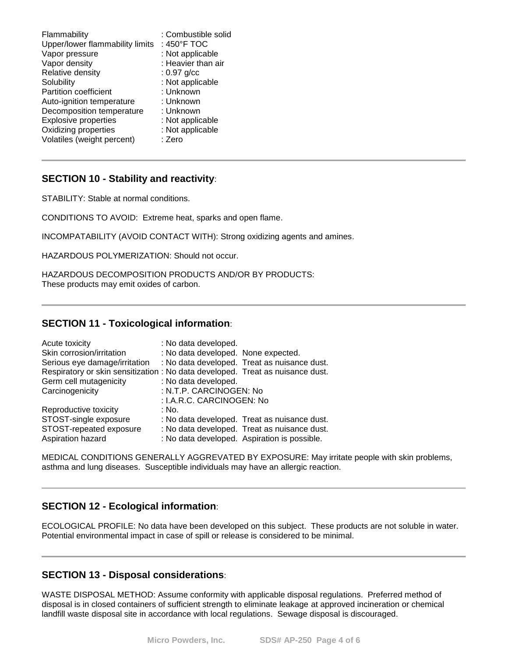| Flammability                    | : Combustible solid |
|---------------------------------|---------------------|
| Upper/lower flammability limits | : 450°F TOC         |
| Vapor pressure                  | : Not applicable    |
| Vapor density                   | : Heavier than air  |
| Relative density                | $: 0.97$ g/cc       |
| Solubility                      | : Not applicable    |
| <b>Partition coefficient</b>    | : Unknown           |
| Auto-ignition temperature       | : Unknown           |
| Decomposition temperature       | : Unknown           |
| <b>Explosive properties</b>     | : Not applicable    |
| Oxidizing properties            | : Not applicable    |
| Volatiles (weight percent)      | : Zero              |

### **SECTION 10 - Stability and reactivity**:

STABILITY: Stable at normal conditions.

CONDITIONS TO AVOID: Extreme heat, sparks and open flame.

INCOMPATABILITY (AVOID CONTACT WITH): Strong oxidizing agents and amines.

HAZARDOUS POLYMERIZATION: Should not occur.

HAZARDOUS DECOMPOSITION PRODUCTS AND/OR BY PRODUCTS: These products may emit oxides of carbon.

### **SECTION 11 - Toxicological information**:

| Acute toxicity                                                                 | : No data developed.                         |  |
|--------------------------------------------------------------------------------|----------------------------------------------|--|
| Skin corrosion/irritation                                                      | : No data developed. None expected.          |  |
| Serious eye damage/irritation                                                  | : No data developed. Treat as nuisance dust. |  |
| Respiratory or skin sensitization : No data developed. Treat as nuisance dust. |                                              |  |
| Germ cell mutagenicity                                                         | : No data developed.                         |  |
| Carcinogenicity                                                                | : N.T.P. CARCINOGEN: No                      |  |
|                                                                                | : I.A.R.C. CARCINOGEN: No                    |  |
| Reproductive toxicity                                                          | : No.                                        |  |
| STOST-single exposure                                                          | : No data developed. Treat as nuisance dust. |  |
| STOST-repeated exposure                                                        | : No data developed. Treat as nuisance dust. |  |
| Aspiration hazard                                                              | : No data developed. Aspiration is possible. |  |

MEDICAL CONDITIONS GENERALLY AGGREVATED BY EXPOSURE: May irritate people with skin problems, asthma and lung diseases. Susceptible individuals may have an allergic reaction.

### **SECTION 12 - Ecological information**:

ECOLOGICAL PROFILE: No data have been developed on this subject. These products are not soluble in water. Potential environmental impact in case of spill or release is considered to be minimal.

### **SECTION 13 - Disposal considerations**:

WASTE DISPOSAL METHOD: Assume conformity with applicable disposal regulations. Preferred method of disposal is in closed containers of sufficient strength to eliminate leakage at approved incineration or chemical landfill waste disposal site in accordance with local regulations. Sewage disposal is discouraged.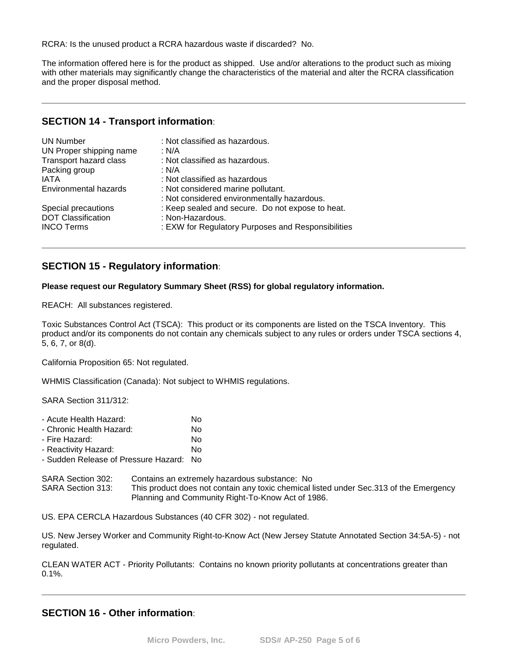RCRA: Is the unused product a RCRA hazardous waste if discarded? No.

The information offered here is for the product as shipped. Use and/or alterations to the product such as mixing with other materials may significantly change the characteristics of the material and alter the RCRA classification and the proper disposal method.

### **SECTION 14 - Transport information**:

| <b>UN Number</b><br>UN Proper shipping name<br>Transport hazard class<br>Packing group<br>IATA | : Not classified as hazardous.<br>: N/A<br>: Not classified as hazardous.<br>: N/A<br>: Not classified as hazardous |
|------------------------------------------------------------------------------------------------|---------------------------------------------------------------------------------------------------------------------|
| <b>Environmental hazards</b>                                                                   | : Not considered marine pollutant.<br>: Not considered environmentally hazardous.                                   |
| Special precautions                                                                            | : Keep sealed and secure. Do not expose to heat.                                                                    |
| <b>DOT Classification</b>                                                                      | : Non-Hazardous.                                                                                                    |
| <b>INCO Terms</b>                                                                              | : EXW for Regulatory Purposes and Responsibilities                                                                  |

# **SECTION 15 - Regulatory information**:

#### **Please request our Regulatory Summary Sheet (RSS) for global regulatory information.**

REACH: All substances registered.

Toxic Substances Control Act (TSCA): This product or its components are listed on the TSCA Inventory. This product and/or its components do not contain any chemicals subject to any rules or orders under TSCA sections 4, 5, 6, 7, or 8(d).

California Proposition 65: Not regulated.

WHMIS Classification (Canada): Not subject to WHMIS regulations.

SARA Section 311/312:

| - Acute Health Hazard:               | No  |
|--------------------------------------|-----|
| - Chronic Health Hazard:             | No  |
| - Fire Hazard:                       | No  |
| - Reactivity Hazard:                 | No  |
| - Sudden Release of Pressure Hazard: | No. |

| SARA Section 302: | Contains an extremely hazardous substance: No                                          |
|-------------------|----------------------------------------------------------------------------------------|
| SARA Section 313: | This product does not contain any toxic chemical listed under Sec.313 of the Emergency |
|                   | Planning and Community Right-To-Know Act of 1986.                                      |

US. EPA CERCLA Hazardous Substances (40 CFR 302) - not regulated.

US. New Jersey Worker and Community Right-to-Know Act (New Jersey Statute Annotated Section 34:5A-5) - not regulated.

CLEAN WATER ACT - Priority Pollutants: Contains no known priority pollutants at concentrations greater than 0.1%.

# **SECTION 16 - Other information**: